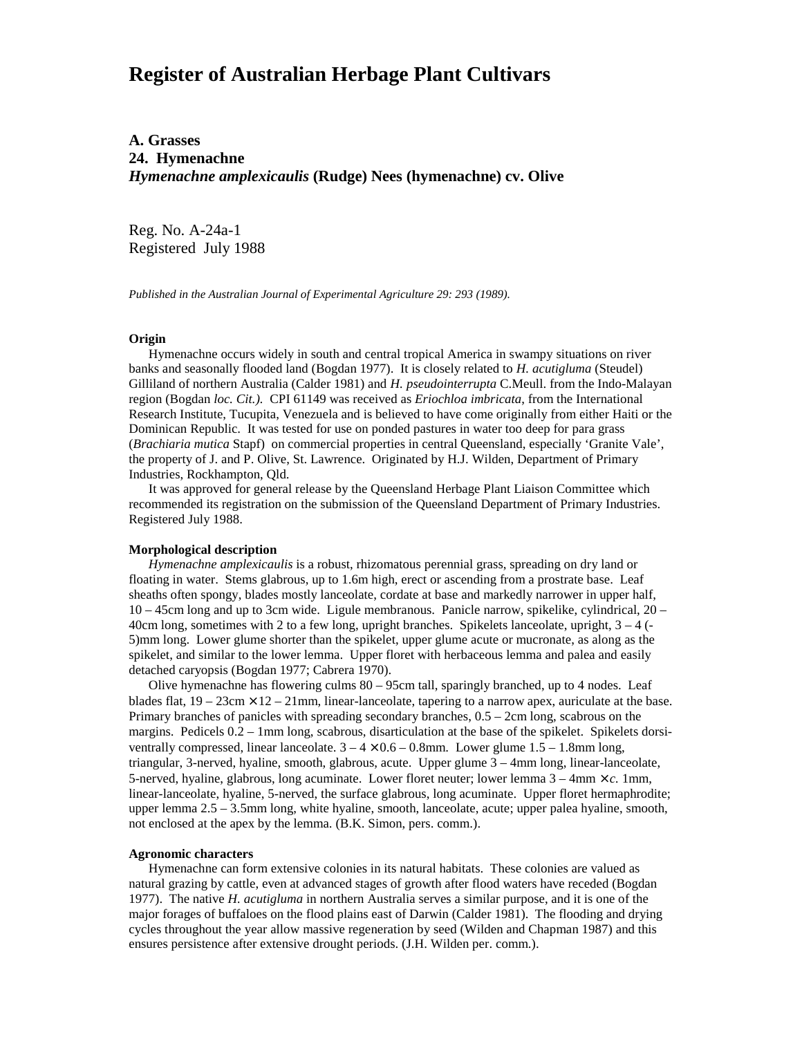# **Register of Australian Herbage Plant Cultivars**

**A. Grasses 24. Hymenachne** *Hymenachne amplexicaulis* **(Rudge) Nees (hymenachne) cv. Olive**

Reg. No. A-24a-1 Registered July 1988

*Published in the Australian Journal of Experimental Agriculture 29: 293 (1989).*

## **Origin**

Hymenachne occurs widely in south and central tropical America in swampy situations on river banks and seasonally flooded land (Bogdan 1977). It is closely related to *H. acutigluma* (Steudel) Gilliland of northern Australia (Calder 1981) and *H. pseudointerrupta* C.Meull. from the Indo-Malayan region (Bogdan *loc. Cit.).* CPI 61149 was received as *Eriochloa imbricata*, from the International Research Institute, Tucupita, Venezuela and is believed to have come originally from either Haiti or the Dominican Republic. It was tested for use on ponded pastures in water too deep for para grass (*Brachiaria mutica* Stapf) on commercial properties in central Queensland, especially 'Granite Vale', the property of J. and P. Olive, St. Lawrence. Originated by H.J. Wilden, Department of Primary Industries, Rockhampton, Qld.

 It was approved for general release by the Queensland Herbage Plant Liaison Committee which recommended its registration on the submission of the Queensland Department of Primary Industries. Registered July 1988.

### **Morphological description**

*Hymenachne amplexicaulis* is a robust, rhizomatous perennial grass, spreading on dry land or floating in water. Stems glabrous, up to 1.6m high, erect or ascending from a prostrate base. Leaf sheaths often spongy, blades mostly lanceolate, cordate at base and markedly narrower in upper half, 10 – 45cm long and up to 3cm wide. Ligule membranous. Panicle narrow, spikelike, cylindrical, 20 – 40cm long, sometimes with 2 to a few long, upright branches. Spikelets lanceolate, upright, 3 – 4 (- 5)mm long. Lower glume shorter than the spikelet, upper glume acute or mucronate, as along as the spikelet, and similar to the lower lemma. Upper floret with herbaceous lemma and palea and easily detached caryopsis (Bogdan 1977; Cabrera 1970).

 Olive hymenachne has flowering culms 80 – 95cm tall, sparingly branched, up to 4 nodes. Leaf blades flat,  $19 - 23$ cm  $\times$   $12 - 21$ mm, linear-lanceolate, tapering to a narrow apex, auriculate at the base. Primary branches of panicles with spreading secondary branches, 0.5 – 2cm long, scabrous on the margins. Pedicels  $0.2 - 1$ mm long, scabrous, disarticulation at the base of the spikelet. Spikelets dorsiventrally compressed, linear lanceolate.  $3 - 4 \times 0.6 - 0.8$ mm. Lower glume  $1.5 - 1.8$ mm long, triangular, 3-nerved, hyaline, smooth, glabrous, acute. Upper glume 3 – 4mm long, linear-lanceolate, 5-nerved, hyaline, glabrous, long acuminate. Lower floret neuter; lower lemma 3 – 4mm × *c.* 1mm, linear-lanceolate, hyaline, 5-nerved, the surface glabrous, long acuminate. Upper floret hermaphrodite; upper lemma 2.5 – 3.5mm long, white hyaline, smooth, lanceolate, acute; upper palea hyaline, smooth, not enclosed at the apex by the lemma. (B.K. Simon, pers. comm.).

#### **Agronomic characters**

Hymenachne can form extensive colonies in its natural habitats. These colonies are valued as natural grazing by cattle, even at advanced stages of growth after flood waters have receded (Bogdan 1977). The native *H. acutigluma* in northern Australia serves a similar purpose, and it is one of the major forages of buffaloes on the flood plains east of Darwin (Calder 1981). The flooding and drying cycles throughout the year allow massive regeneration by seed (Wilden and Chapman 1987) and this ensures persistence after extensive drought periods. (J.H. Wilden per. comm.).